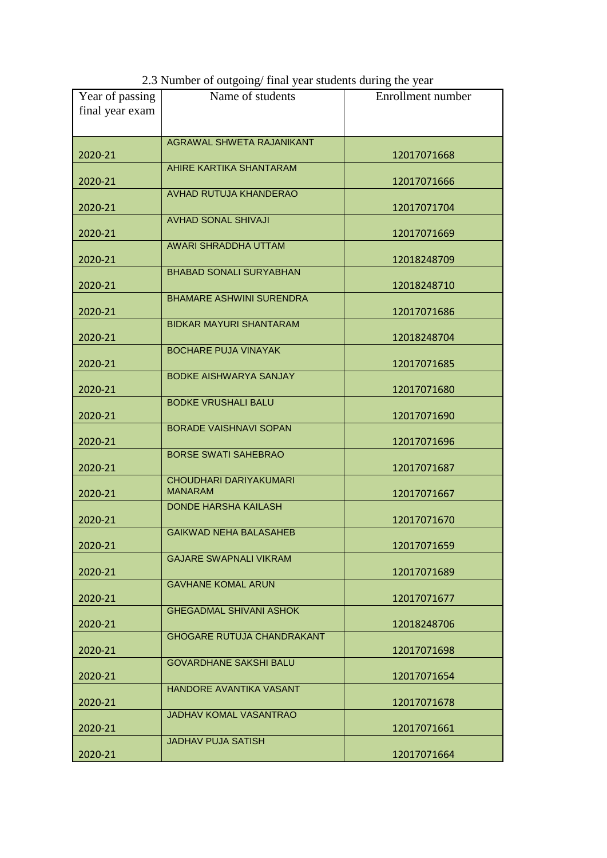| Year of passing | Name of students                  | Enrollment number |
|-----------------|-----------------------------------|-------------------|
| final year exam |                                   |                   |
|                 |                                   |                   |
|                 | AGRAWAL SHWETA RAJANIKANT         |                   |
| 2020-21         |                                   | 12017071668       |
|                 | AHIRE KARTIKA SHANTARAM           |                   |
| 2020-21         |                                   | 12017071666       |
|                 | AVHAD RUTUJA KHANDERAO            |                   |
| 2020-21         |                                   | 12017071704       |
|                 | <b>AVHAD SONAL SHIVAJI</b>        |                   |
| 2020-21         |                                   | 12017071669       |
|                 | <b>AWARI SHRADDHA UTTAM</b>       |                   |
| 2020-21         |                                   | 12018248709       |
|                 | <b>BHABAD SONALI SURYABHAN</b>    |                   |
| 2020-21         | <b>BHAMARE ASHWINI SURENDRA</b>   | 12018248710       |
|                 |                                   |                   |
| 2020-21         | <b>BIDKAR MAYURI SHANTARAM</b>    | 12017071686       |
| 2020-21         |                                   | 12018248704       |
|                 | <b>BOCHARE PUJA VINAYAK</b>       |                   |
| 2020-21         |                                   | 12017071685       |
|                 | <b>BODKE AISHWARYA SANJAY</b>     |                   |
| 2020-21         |                                   | 12017071680       |
|                 | <b>BODKE VRUSHALI BALU</b>        |                   |
| 2020-21         |                                   | 12017071690       |
|                 | <b>BORADE VAISHNAVI SOPAN</b>     |                   |
| 2020-21         |                                   | 12017071696       |
|                 | <b>BORSE SWATI SAHEBRAO</b>       |                   |
| 2020-21         |                                   | 12017071687       |
|                 | CHOUDHARI DARIYAKUMARI            |                   |
| 2020-21         | <b>MANARAM</b>                    | 12017071667       |
|                 | <b>DONDE HARSHA KAILASH</b>       |                   |
| 2020-21         | <b>GAIKWAD NEHA BALASAHEB</b>     | 12017071670       |
|                 |                                   |                   |
| 2020-21         | <b>GAJARE SWAPNALI VIKRAM</b>     | 12017071659       |
| 2020-21         |                                   | 12017071689       |
|                 | <b>GAVHANE KOMAL ARUN</b>         |                   |
| 2020-21         |                                   | 12017071677       |
|                 | <b>GHEGADMAL SHIVANI ASHOK</b>    |                   |
| 2020-21         |                                   | 12018248706       |
|                 | <b>GHOGARE RUTUJA CHANDRAKANT</b> |                   |
| 2020-21         |                                   | 12017071698       |
|                 | <b>GOVARDHANE SAKSHI BALU</b>     |                   |
| 2020-21         |                                   | 12017071654       |
|                 | HANDORE AVANTIKA VASANT           |                   |
| 2020-21         |                                   | 12017071678       |
|                 | <b>JADHAV KOMAL VASANTRAO</b>     |                   |
| 2020-21         |                                   | 12017071661       |
|                 | <b>JADHAV PUJA SATISH</b>         |                   |
| 2020-21         |                                   | 12017071664       |

2.3 Number of outgoing/ final year students during the year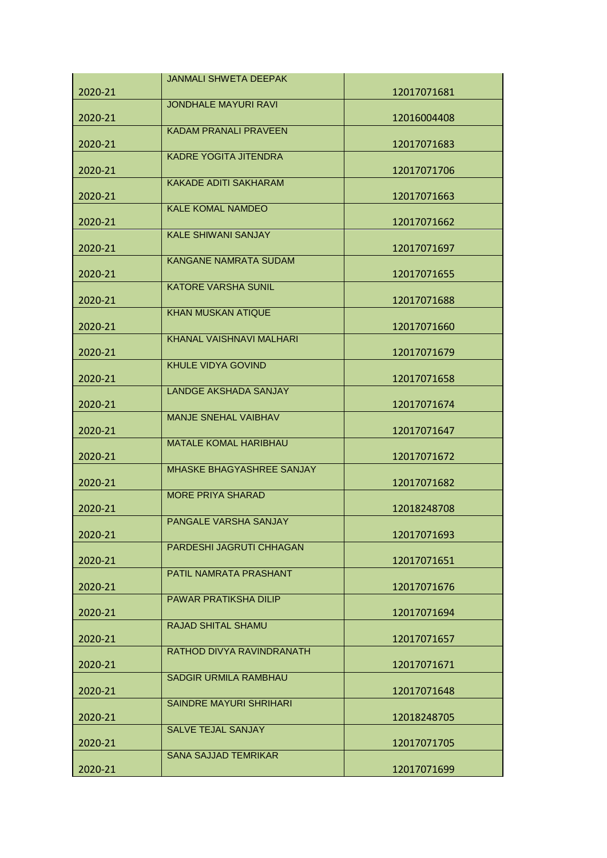|         | <b>JANMALI SHWETA DEEPAK</b> |             |
|---------|------------------------------|-------------|
| 2020-21 |                              | 12017071681 |
|         | <b>JONDHALE MAYURI RAVI</b>  |             |
| 2020-21 |                              | 12016004408 |
|         | <b>KADAM PRANALI PRAVEEN</b> |             |
| 2020-21 |                              | 12017071683 |
|         | <b>KADRE YOGITA JITENDRA</b> |             |
| 2020-21 | <b>KAKADE ADITI SAKHARAM</b> | 12017071706 |
| 2020-21 |                              | 12017071663 |
|         | <b>KALE KOMAL NAMDEO</b>     |             |
| 2020-21 |                              | 12017071662 |
|         | <b>KALE SHIWANI SANJAY</b>   |             |
| 2020-21 |                              | 12017071697 |
|         | <b>KANGANE NAMRATA SUDAM</b> |             |
| 2020-21 |                              | 12017071655 |
|         | <b>KATORE VARSHA SUNIL</b>   |             |
| 2020-21 |                              | 12017071688 |
|         | KHAN MUSKAN ATIQUE           |             |
| 2020-21 |                              | 12017071660 |
|         | KHANAL VAISHNAVI MALHARI     |             |
| 2020-21 | <b>KHULE VIDYA GOVIND</b>    | 12017071679 |
|         |                              |             |
| 2020-21 | <b>LANDGE AKSHADA SANJAY</b> | 12017071658 |
| 2020-21 |                              | 12017071674 |
|         | MANJE SNEHAL VAIBHAV         |             |
| 2020-21 |                              | 12017071647 |
|         | <b>MATALE KOMAL HARIBHAU</b> |             |
| 2020-21 |                              | 12017071672 |
|         | MHASKE BHAGYASHREE SANJAY    |             |
| 2020-21 |                              | 12017071682 |
|         | <b>MORE PRIYA SHARAD</b>     |             |
| 2020-21 |                              | 12018248708 |
|         | PANGALE VARSHA SANJAY        |             |
| 2020-21 |                              | 12017071693 |
|         | PARDESHI JAGRUTI CHHAGAN     |             |
| 2020-21 | PATIL NAMRATA PRASHANT       | 12017071651 |
| 2020-21 |                              | 12017071676 |
|         | PAWAR PRATIKSHA DILIP        |             |
| 2020-21 |                              | 12017071694 |
|         | <b>RAJAD SHITAL SHAMU</b>    |             |
| 2020-21 |                              | 12017071657 |
|         | RATHOD DIVYA RAVINDRANATH    |             |
| 2020-21 |                              | 12017071671 |
|         | SADGIR URMILA RAMBHAU        |             |
| 2020-21 |                              | 12017071648 |
|         | SAINDRE MAYURI SHRIHARI      |             |
| 2020-21 |                              | 12018248705 |
|         | <b>SALVE TEJAL SANJAY</b>    |             |
| 2020-21 |                              | 12017071705 |
|         | <b>SANA SAJJAD TEMRIKAR</b>  |             |
| 2020-21 |                              | 12017071699 |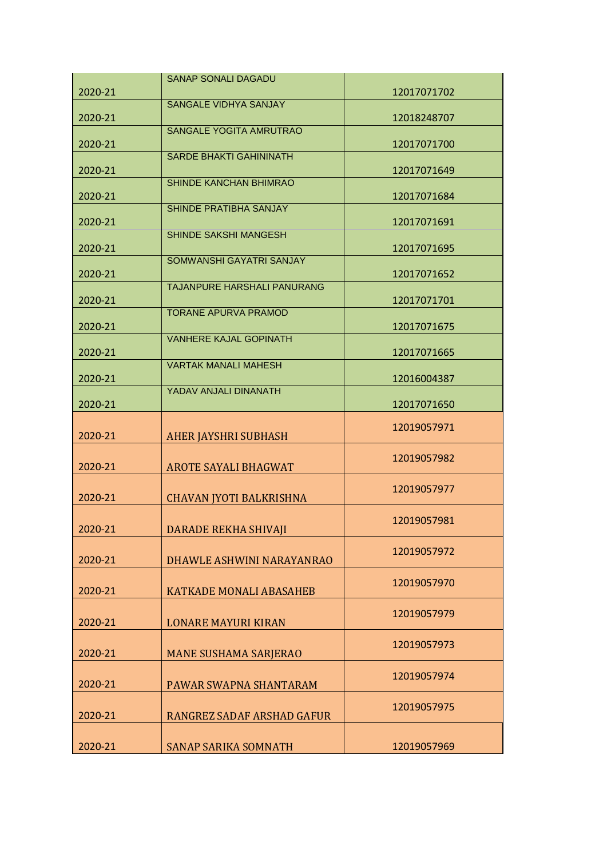|         | <b>SANAP SONALI DAGADU</b>     |             |
|---------|--------------------------------|-------------|
| 2020-21 |                                | 12017071702 |
| 2020-21 | SANGALE VIDHYA SANJAY          | 12018248707 |
| 2020-21 | <b>SANGALE YOGITA AMRUTRAO</b> | 12017071700 |
| 2020-21 | <b>SARDE BHAKTI GAHININATH</b> | 12017071649 |
| 2020-21 | SHINDE KANCHAN BHIMRAO         | 12017071684 |
| 2020-21 | SHINDE PRATIBHA SANJAY         | 12017071691 |
|         | SHINDE SAKSHI MANGESH          |             |
| 2020-21 | SOMWANSHI GAYATRI SANJAY       | 12017071695 |
| 2020-21 | TAJANPURE HARSHALI PANURANG    | 12017071652 |
| 2020-21 | <b>TORANE APURVA PRAMOD</b>    | 12017071701 |
| 2020-21 | <b>VANHERE KAJAL GOPINATH</b>  | 12017071675 |
| 2020-21 | <b>VARTAK MANALI MAHESH</b>    | 12017071665 |
| 2020-21 | YADAV ANJALI DINANATH          | 12016004387 |
| 2020-21 |                                | 12017071650 |
| 2020-21 | <b>AHER JAYSHRI SUBHASH</b>    | 12019057971 |
| 2020-21 | <b>AROTE SAYALI BHAGWAT</b>    | 12019057982 |
| 2020-21 | <b>CHAVAN JYOTI BALKRISHNA</b> | 12019057977 |
| 2020-21 |                                |             |
|         |                                | 12019057981 |
|         | <b>DARADE REKHA SHIVAJI</b>    | 12019057972 |
| 2020-21 | DHAWLE ASHWINI NARAYANRAO      | 12019057970 |
| 2020-21 | <b>KATKADE MONALI ABASAHEB</b> | 12019057979 |
| 2020-21 | <b>LONARE MAYURI KIRAN</b>     | 12019057973 |
| 2020-21 | <b>MANE SUSHAMA SARJERAO</b>   |             |
| 2020-21 | PAWAR SWAPNA SHANTARAM         | 12019057974 |
| 2020-21 | RANGREZ SADAF ARSHAD GAFUR     | 12019057975 |